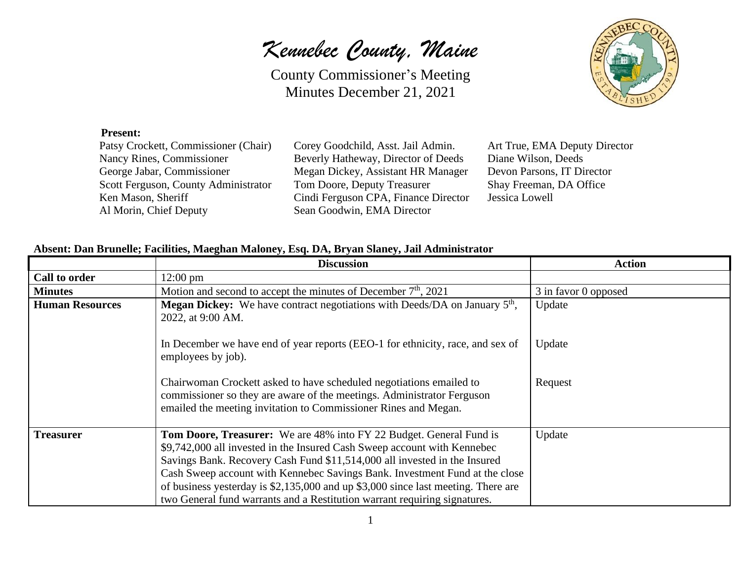*Kennebec County, Maine*

County Commissioner's Meeting Minutes December 21, 2021



#### **Present:**

| Patsy Crockett, Commissioner (Chair) |
|--------------------------------------|
| Nancy Rines, Commissioner            |
| George Jabar, Commissioner           |
| Scott Ferguson, County Administrator |
| Ken Mason, Sheriff                   |
| Al Morin, Chief Deputy               |

Corey Goodchild, Asst. Jail Admin. Art True, EMA Deputy Director Reverly Hatheway, Director of Deeds Diane Wilson, Deeds Megan Dickey, Assistant HR Manager Devon Parsons, IT Director Tom Doore, Deputy Treasurer Shay Freeman, DA Office Cindi Ferguson CPA, Finance Director Jessica Lowell Sean Goodwin, EMA Director

#### **Absent: Dan Brunelle; Facilities, Maeghan Maloney, Esq. DA, Bryan Slaney, Jail Administrator**

|                        | <b>Discussion</b>                                                                                                                                                                                                                                                                                                                                                                                                                                                                    | <b>Action</b>        |
|------------------------|--------------------------------------------------------------------------------------------------------------------------------------------------------------------------------------------------------------------------------------------------------------------------------------------------------------------------------------------------------------------------------------------------------------------------------------------------------------------------------------|----------------------|
| <b>Call to order</b>   | $12:00 \text{ pm}$                                                                                                                                                                                                                                                                                                                                                                                                                                                                   |                      |
| <b>Minutes</b>         | Motion and second to accept the minutes of December $7th$ , 2021                                                                                                                                                                                                                                                                                                                                                                                                                     | 3 in favor 0 opposed |
| <b>Human Resources</b> | <b>Megan Dickey:</b> We have contract negotiations with Deeds/DA on January $5th$ ,<br>2022, at 9:00 AM.                                                                                                                                                                                                                                                                                                                                                                             | Update               |
|                        | In December we have end of year reports (EEO-1 for ethnicity, race, and sex of<br>employees by job).                                                                                                                                                                                                                                                                                                                                                                                 | Update               |
|                        | Chairwoman Crockett asked to have scheduled negotiations emailed to<br>commissioner so they are aware of the meetings. Administrator Ferguson<br>emailed the meeting invitation to Commissioner Rines and Megan.                                                                                                                                                                                                                                                                     | Request              |
| <b>Treasurer</b>       | <b>Tom Doore, Treasurer:</b> We are 48% into FY 22 Budget. General Fund is<br>\$9,742,000 all invested in the Insured Cash Sweep account with Kennebec<br>Savings Bank. Recovery Cash Fund \$11,514,000 all invested in the Insured<br>Cash Sweep account with Kennebec Savings Bank. Investment Fund at the close<br>of business yesterday is \$2,135,000 and up \$3,000 since last meeting. There are<br>two General fund warrants and a Restitution warrant requiring signatures. | Update               |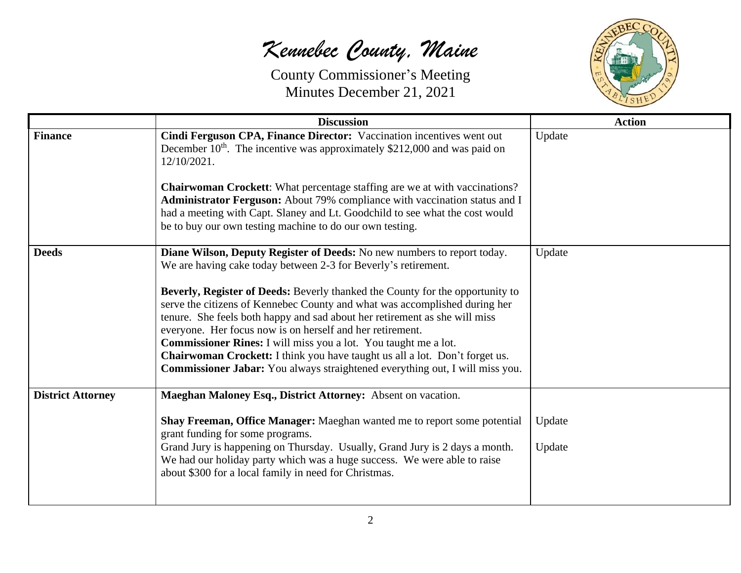

|                          | <b>Discussion</b>                                                                                                                                                                                                                                                                                                                                                                                                                                                                                                                                                                                                                                                                            | <b>Action</b>    |
|--------------------------|----------------------------------------------------------------------------------------------------------------------------------------------------------------------------------------------------------------------------------------------------------------------------------------------------------------------------------------------------------------------------------------------------------------------------------------------------------------------------------------------------------------------------------------------------------------------------------------------------------------------------------------------------------------------------------------------|------------------|
| <b>Finance</b>           | Cindi Ferguson CPA, Finance Director: Vaccination incentives went out<br>December $10th$ . The incentive was approximately \$212,000 and was paid on<br>12/10/2021.<br><b>Chairwoman Crockett:</b> What percentage staffing are we at with vaccinations?                                                                                                                                                                                                                                                                                                                                                                                                                                     | Update           |
|                          | Administrator Ferguson: About 79% compliance with vaccination status and I<br>had a meeting with Capt. Slaney and Lt. Goodchild to see what the cost would<br>be to buy our own testing machine to do our own testing.                                                                                                                                                                                                                                                                                                                                                                                                                                                                       |                  |
| <b>Deeds</b>             | Diane Wilson, Deputy Register of Deeds: No new numbers to report today.<br>We are having cake today between 2-3 for Beverly's retirement.<br>Beverly, Register of Deeds: Beverly thanked the County for the opportunity to<br>serve the citizens of Kennebec County and what was accomplished during her<br>tenure. She feels both happy and sad about her retirement as she will miss<br>everyone. Her focus now is on herself and her retirement.<br>Commissioner Rines: I will miss you a lot. You taught me a lot.<br>Chairwoman Crockett: I think you have taught us all a lot. Don't forget us.<br><b>Commissioner Jabar:</b> You always straightened everything out, I will miss you. | Update           |
| <b>District Attorney</b> | Maeghan Maloney Esq., District Attorney: Absent on vacation.<br>Shay Freeman, Office Manager: Maeghan wanted me to report some potential<br>grant funding for some programs.<br>Grand Jury is happening on Thursday. Usually, Grand Jury is 2 days a month.<br>We had our holiday party which was a huge success. We were able to raise<br>about \$300 for a local family in need for Christmas.                                                                                                                                                                                                                                                                                             | Update<br>Update |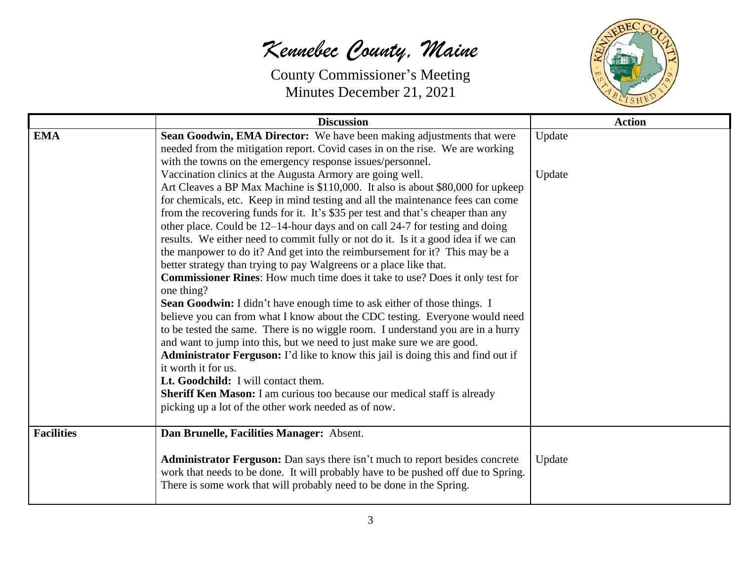

|                   | <b>Discussion</b>                                                                                                                                                                                                                         | <b>Action</b> |
|-------------------|-------------------------------------------------------------------------------------------------------------------------------------------------------------------------------------------------------------------------------------------|---------------|
| <b>EMA</b>        | Sean Goodwin, EMA Director: We have been making adjustments that were                                                                                                                                                                     | Update        |
|                   | needed from the mitigation report. Covid cases in on the rise. We are working                                                                                                                                                             |               |
|                   | with the towns on the emergency response issues/personnel.                                                                                                                                                                                |               |
|                   | Vaccination clinics at the Augusta Armory are going well.                                                                                                                                                                                 | Update        |
|                   | Art Cleaves a BP Max Machine is \$110,000. It also is about \$80,000 for upkeep                                                                                                                                                           |               |
|                   | for chemicals, etc. Keep in mind testing and all the maintenance fees can come                                                                                                                                                            |               |
|                   | from the recovering funds for it. It's \$35 per test and that's cheaper than any                                                                                                                                                          |               |
|                   | other place. Could be 12–14-hour days and on call 24-7 for testing and doing                                                                                                                                                              |               |
|                   | results. We either need to commit fully or not do it. Is it a good idea if we can                                                                                                                                                         |               |
|                   | the manpower to do it? And get into the reimbursement for it? This may be a                                                                                                                                                               |               |
|                   | better strategy than trying to pay Walgreens or a place like that.                                                                                                                                                                        |               |
|                   | <b>Commissioner Rines:</b> How much time does it take to use? Does it only test for                                                                                                                                                       |               |
|                   | one thing?                                                                                                                                                                                                                                |               |
|                   | Sean Goodwin: I didn't have enough time to ask either of those things. I                                                                                                                                                                  |               |
|                   | believe you can from what I know about the CDC testing. Everyone would need                                                                                                                                                               |               |
|                   | to be tested the same. There is no wiggle room. I understand you are in a hurry                                                                                                                                                           |               |
|                   | and want to jump into this, but we need to just make sure we are good.                                                                                                                                                                    |               |
|                   | Administrator Ferguson: I'd like to know this jail is doing this and find out if                                                                                                                                                          |               |
|                   | it worth it for us.                                                                                                                                                                                                                       |               |
|                   | Lt. Goodchild: I will contact them.                                                                                                                                                                                                       |               |
|                   | Sheriff Ken Mason: I am curious too because our medical staff is already                                                                                                                                                                  |               |
|                   | picking up a lot of the other work needed as of now.                                                                                                                                                                                      |               |
| <b>Facilities</b> | Dan Brunelle, Facilities Manager: Absent.                                                                                                                                                                                                 |               |
|                   | Administrator Ferguson: Dan says there isn't much to report besides concrete<br>work that needs to be done. It will probably have to be pushed off due to Spring.<br>There is some work that will probably need to be done in the Spring. | Update        |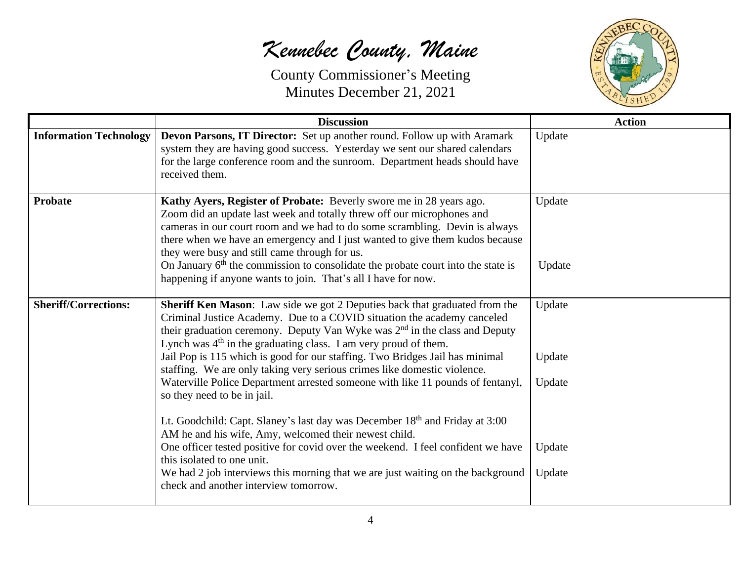

|                               | <b>Discussion</b>                                                                                                                                                                                                                                                                                                                                                                                                                                                                                                                                                                       | <b>Action</b>              |
|-------------------------------|-----------------------------------------------------------------------------------------------------------------------------------------------------------------------------------------------------------------------------------------------------------------------------------------------------------------------------------------------------------------------------------------------------------------------------------------------------------------------------------------------------------------------------------------------------------------------------------------|----------------------------|
| <b>Information Technology</b> | Devon Parsons, IT Director: Set up another round. Follow up with Aramark<br>system they are having good success. Yesterday we sent our shared calendars<br>for the large conference room and the sunroom. Department heads should have<br>received them.                                                                                                                                                                                                                                                                                                                                | Update                     |
| Probate                       | Kathy Ayers, Register of Probate: Beverly swore me in 28 years ago.<br>Zoom did an update last week and totally threw off our microphones and<br>cameras in our court room and we had to do some scrambling. Devin is always<br>there when we have an emergency and I just wanted to give them kudos because<br>they were busy and still came through for us.<br>On January 6 <sup>th</sup> the commission to consolidate the probate court into the state is<br>happening if anyone wants to join. That's all I have for now.                                                          | Update<br>Update           |
| <b>Sheriff/Corrections:</b>   | Sheriff Ken Mason: Law side we got 2 Deputies back that graduated from the<br>Criminal Justice Academy. Due to a COVID situation the academy canceled<br>their graduation ceremony. Deputy Van Wyke was $2nd$ in the class and Deputy<br>Lynch was $4th$ in the graduating class. I am very proud of them.<br>Jail Pop is 115 which is good for our staffing. Two Bridges Jail has minimal<br>staffing. We are only taking very serious crimes like domestic violence.<br>Waterville Police Department arrested someone with like 11 pounds of fentanyl,<br>so they need to be in jail. | Update<br>Update<br>Update |
|                               | Lt. Goodchild: Capt. Slaney's last day was December 18 <sup>th</sup> and Friday at 3:00<br>AM he and his wife, Amy, welcomed their newest child.<br>One officer tested positive for covid over the weekend. I feel confident we have<br>this isolated to one unit.<br>We had 2 job interviews this morning that we are just waiting on the background<br>check and another interview tomorrow.                                                                                                                                                                                          | Update<br>Update           |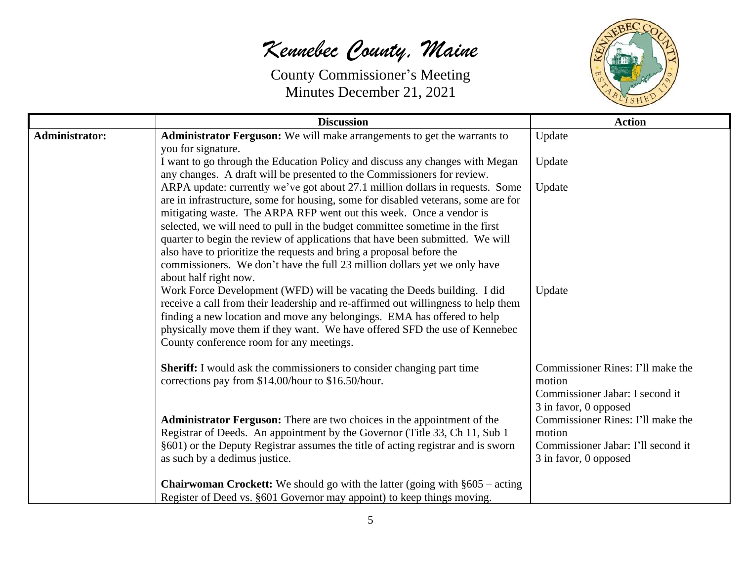

|                       | <b>Discussion</b>                                                                                                                                                                                                                                                                                                                                                                                                                                                                                                                                                                                                                                                                                                                                                                                                                                                                                                                                             | <b>Action</b>                                                                                              |
|-----------------------|---------------------------------------------------------------------------------------------------------------------------------------------------------------------------------------------------------------------------------------------------------------------------------------------------------------------------------------------------------------------------------------------------------------------------------------------------------------------------------------------------------------------------------------------------------------------------------------------------------------------------------------------------------------------------------------------------------------------------------------------------------------------------------------------------------------------------------------------------------------------------------------------------------------------------------------------------------------|------------------------------------------------------------------------------------------------------------|
| <b>Administrator:</b> | Administrator Ferguson: We will make arrangements to get the warrants to<br>you for signature.                                                                                                                                                                                                                                                                                                                                                                                                                                                                                                                                                                                                                                                                                                                                                                                                                                                                | Update                                                                                                     |
|                       | I want to go through the Education Policy and discuss any changes with Megan<br>any changes. A draft will be presented to the Commissioners for review.                                                                                                                                                                                                                                                                                                                                                                                                                                                                                                                                                                                                                                                                                                                                                                                                       | Update                                                                                                     |
|                       | ARPA update: currently we've got about 27.1 million dollars in requests. Some<br>are in infrastructure, some for housing, some for disabled veterans, some are for<br>mitigating waste. The ARPA RFP went out this week. Once a vendor is<br>selected, we will need to pull in the budget committee sometime in the first<br>quarter to begin the review of applications that have been submitted. We will<br>also have to prioritize the requests and bring a proposal before the<br>commissioners. We don't have the full 23 million dollars yet we only have<br>about half right now.<br>Work Force Development (WFD) will be vacating the Deeds building. I did<br>receive a call from their leadership and re-affirmed out willingness to help them<br>finding a new location and move any belongings. EMA has offered to help<br>physically move them if they want. We have offered SFD the use of Kennebec<br>County conference room for any meetings. | Update<br>Update                                                                                           |
|                       | <b>Sheriff:</b> I would ask the commissioners to consider changing part time<br>corrections pay from \$14.00/hour to \$16.50/hour.                                                                                                                                                                                                                                                                                                                                                                                                                                                                                                                                                                                                                                                                                                                                                                                                                            | Commissioner Rines: I'll make the<br>motion<br>Commissioner Jabar: I second it<br>3 in favor, 0 opposed    |
|                       | Administrator Ferguson: There are two choices in the appointment of the<br>Registrar of Deeds. An appointment by the Governor (Title 33, Ch 11, Sub 1)<br>§601) or the Deputy Registrar assumes the title of acting registrar and is sworn<br>as such by a dedimus justice.                                                                                                                                                                                                                                                                                                                                                                                                                                                                                                                                                                                                                                                                                   | Commissioner Rines: I'll make the<br>motion<br>Commissioner Jabar: I'll second it<br>3 in favor, 0 opposed |
|                       | <b>Chairwoman Crockett:</b> We should go with the latter (going with $§605 - \text{acting}$ )<br>Register of Deed vs. §601 Governor may appoint) to keep things moving.                                                                                                                                                                                                                                                                                                                                                                                                                                                                                                                                                                                                                                                                                                                                                                                       |                                                                                                            |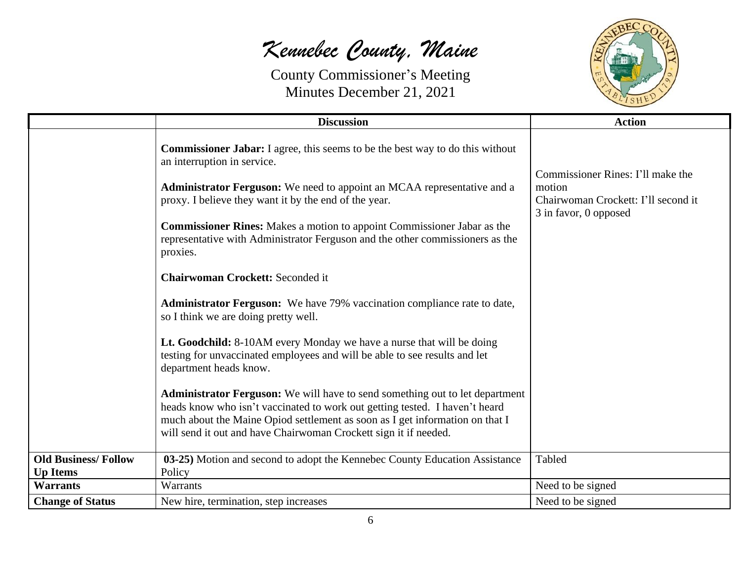

|                            | <b>Discussion</b>                                                                                                                                                                                                                                                                                                                                                                                                                                                                                                                                                                                            | <b>Action</b>                                                                                               |
|----------------------------|--------------------------------------------------------------------------------------------------------------------------------------------------------------------------------------------------------------------------------------------------------------------------------------------------------------------------------------------------------------------------------------------------------------------------------------------------------------------------------------------------------------------------------------------------------------------------------------------------------------|-------------------------------------------------------------------------------------------------------------|
|                            | <b>Commissioner Jabar:</b> I agree, this seems to be the best way to do this without<br>an interruption in service.<br>Administrator Ferguson: We need to appoint an MCAA representative and a<br>proxy. I believe they want it by the end of the year.<br><b>Commissioner Rines:</b> Makes a motion to appoint Commissioner Jabar as the<br>representative with Administrator Ferguson and the other commissioners as the<br>proxies.<br><b>Chairwoman Crockett: Seconded it</b><br><b>Administrator Ferguson:</b> We have 79% vaccination compliance rate to date,<br>so I think we are doing pretty well. | Commissioner Rines: I'll make the<br>motion<br>Chairwoman Crockett: I'll second it<br>3 in favor, 0 opposed |
|                            | Lt. Goodchild: 8-10AM every Monday we have a nurse that will be doing<br>testing for unvaccinated employees and will be able to see results and let<br>department heads know.<br><b>Administrator Ferguson:</b> We will have to send something out to let department<br>heads know who isn't vaccinated to work out getting tested. I haven't heard<br>much about the Maine Opiod settlement as soon as I get information on that I<br>will send it out and have Chairwoman Crockett sign it if needed.                                                                                                      |                                                                                                             |
| <b>Old Business/Follow</b> | 03-25) Motion and second to adopt the Kennebec County Education Assistance                                                                                                                                                                                                                                                                                                                                                                                                                                                                                                                                   | Tabled                                                                                                      |
| <b>Up Items</b>            | Policy                                                                                                                                                                                                                                                                                                                                                                                                                                                                                                                                                                                                       |                                                                                                             |
| <b>Warrants</b>            | <b>Warrants</b>                                                                                                                                                                                                                                                                                                                                                                                                                                                                                                                                                                                              | Need to be signed                                                                                           |
| <b>Change of Status</b>    | New hire, termination, step increases                                                                                                                                                                                                                                                                                                                                                                                                                                                                                                                                                                        | Need to be signed                                                                                           |